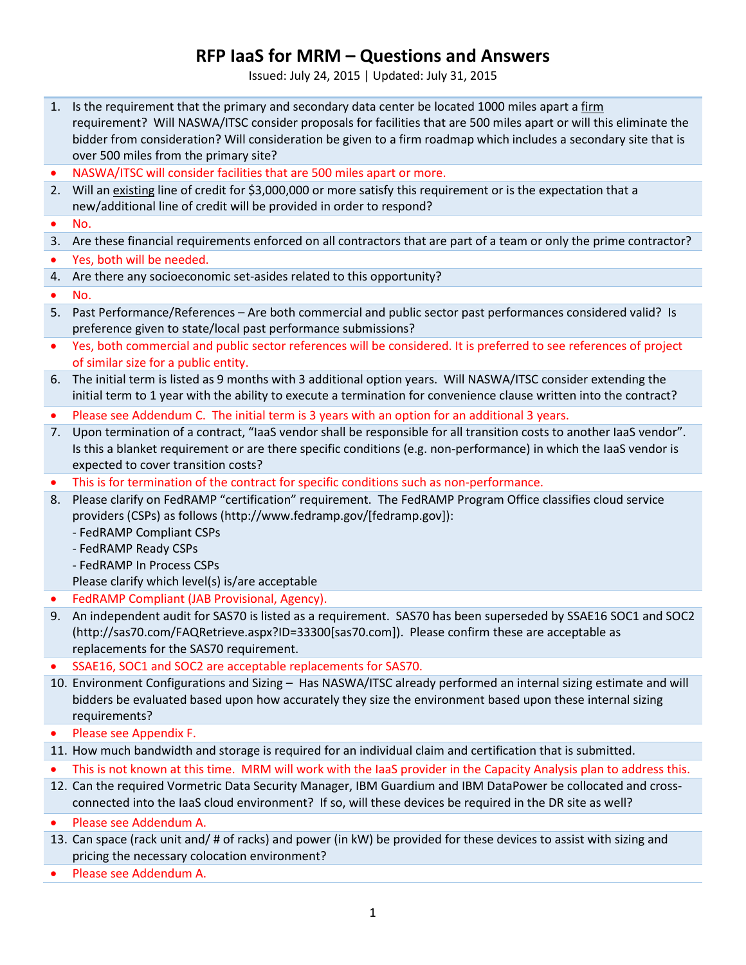Issued: July 24, 2015 | Updated: July 31, 2015

- 1. Is the requirement that the primary and secondary data center be located 1000 miles apart a firm requirement? Will NASWA/ITSC consider proposals for facilities that are 500 miles apart or will this eliminate the bidder from consideration? Will consideration be given to a firm roadmap which includes a secondary site that is over 500 miles from the primary site?
- NASWA/ITSC will consider facilities that are 500 miles apart or more.
- 2. Will an existing line of credit for \$3,000,000 or more satisfy this requirement or is the expectation that a new/additional line of credit will be provided in order to respond?
- No.
- 3. Are these financial requirements enforced on all contractors that are part of a team or only the prime contractor?
- Yes, both will be needed.
- 4. Are there any socioeconomic set-asides related to this opportunity?
- No.
- 5. Past Performance/References Are both commercial and public sector past performances considered valid? Is preference given to state/local past performance submissions?
- Yes, both commercial and public sector references will be considered. It is preferred to see references of project of similar size for a public entity.
- 6. The initial term is listed as 9 months with 3 additional option years. Will NASWA/ITSC consider extending the initial term to 1 year with the ability to execute a termination for convenience clause written into the contract?
- Please see Addendum C. The initial term is 3 years with an option for an additional 3 years.
- 7. Upon termination of a contract, "IaaS vendor shall be responsible for all transition costs to another IaaS vendor". Is this a blanket requirement or are there specific conditions (e.g. non-performance) in which the IaaS vendor is expected to cover transition costs?
- This is for termination of the contract for specific conditions such as non-performance.
- 8. Please clarify on FedRAMP "certification" requirement. The FedRAMP Program Office classifies cloud service providers (CSPs) as follows (http://www.fedramp.gov/[fedramp.gov]):
	- FedRAMP Compliant CSPs
	- FedRAMP Ready CSPs
	- FedRAMP In Process CSPs
	- Please clarify which level(s) is/are acceptable
- FedRAMP Compliant (JAB Provisional, Agency).
- 9. An independent audit for SAS70 is listed as a requirement. SAS70 has been superseded by SSAE16 SOC1 and SOC2 (http://sas70.com/FAQRetrieve.aspx?ID=33300[sas70.com]). Please confirm these are acceptable as replacements for the SAS70 requirement.
- SSAE16, SOC1 and SOC2 are acceptable replacements for SAS70.
- 10. Environment Configurations and Sizing Has NASWA/ITSC already performed an internal sizing estimate and will bidders be evaluated based upon how accurately they size the environment based upon these internal sizing requirements?
- Please see Appendix F.
- 11. How much bandwidth and storage is required for an individual claim and certification that is submitted.
- This is not known at this time. MRM will work with the IaaS provider in the Capacity Analysis plan to address this.
- 12. Can the required Vormetric Data Security Manager, IBM Guardium and IBM DataPower be collocated and crossconnected into the IaaS cloud environment? If so, will these devices be required in the DR site as well?
- Please see Addendum A.
- 13. Can space (rack unit and/ # of racks) and power (in kW) be provided for these devices to assist with sizing and pricing the necessary colocation environment?
- Please see Addendum A.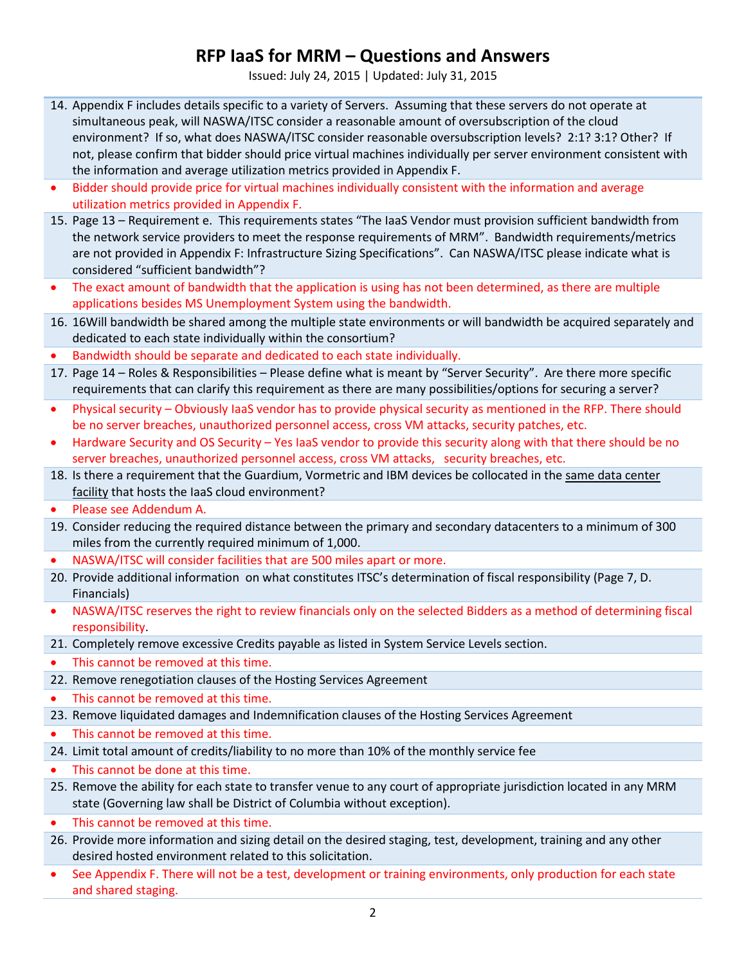Issued: July 24, 2015 | Updated: July 31, 2015

- 14. Appendix F includes details specific to a variety of Servers. Assuming that these servers do not operate at simultaneous peak, will NASWA/ITSC consider a reasonable amount of oversubscription of the cloud environment? If so, what does NASWA/ITSC consider reasonable oversubscription levels? 2:1? 3:1? Other? If not, please confirm that bidder should price virtual machines individually per server environment consistent with the information and average utilization metrics provided in Appendix F.
- Bidder should provide price for virtual machines individually consistent with the information and average utilization metrics provided in Appendix F.
- 15. Page 13 Requirement e. This requirements states "The IaaS Vendor must provision sufficient bandwidth from the network service providers to meet the response requirements of MRM". Bandwidth requirements/metrics are not provided in Appendix F: Infrastructure Sizing Specifications". Can NASWA/ITSC please indicate what is considered "sufficient bandwidth"?
- The exact amount of bandwidth that the application is using has not been determined, as there are multiple applications besides MS Unemployment System using the bandwidth.
- 16. 16Will bandwidth be shared among the multiple state environments or will bandwidth be acquired separately and dedicated to each state individually within the consortium?
- Bandwidth should be separate and dedicated to each state individually.
- 17. Page 14 Roles & Responsibilities Please define what is meant by "Server Security". Are there more specific requirements that can clarify this requirement as there are many possibilities/options for securing a server?
- Physical security Obviously IaaS vendor has to provide physical security as mentioned in the RFP. There should be no server breaches, unauthorized personnel access, cross VM attacks, security patches, etc.
- Hardware Security and OS Security Yes IaaS vendor to provide this security along with that there should be no server breaches, unauthorized personnel access, cross VM attacks, security breaches, etc.
- 18. Is there a requirement that the Guardium, Vormetric and IBM devices be collocated in the same data center facility that hosts the IaaS cloud environment?
- Please see Addendum A.
- 19. Consider reducing the required distance between the primary and secondary datacenters to a minimum of 300 miles from the currently required minimum of 1,000.
- NASWA/ITSC will consider facilities that are 500 miles apart or more.
- 20. Provide additional information on what constitutes ITSC's determination of fiscal responsibility (Page 7, D. Financials)
- NASWA/ITSC reserves the right to review financials only on the selected Bidders as a method of determining fiscal responsibility.
- 21. Completely remove excessive Credits payable as listed in System Service Levels section.
- This cannot be removed at this time.
- 22. Remove renegotiation clauses of the Hosting Services Agreement
- This cannot be removed at this time.
- 23. Remove liquidated damages and Indemnification clauses of the Hosting Services Agreement
- This cannot be removed at this time.
- 24. Limit total amount of credits/liability to no more than 10% of the monthly service fee
- This cannot be done at this time.
- 25. Remove the ability for each state to transfer venue to any court of appropriate jurisdiction located in any MRM state (Governing law shall be District of Columbia without exception).
- This cannot be removed at this time.
- 26. Provide more information and sizing detail on the desired staging, test, development, training and any other desired hosted environment related to this solicitation.
- See Appendix F. There will not be a test, development or training environments, only production for each state and shared staging.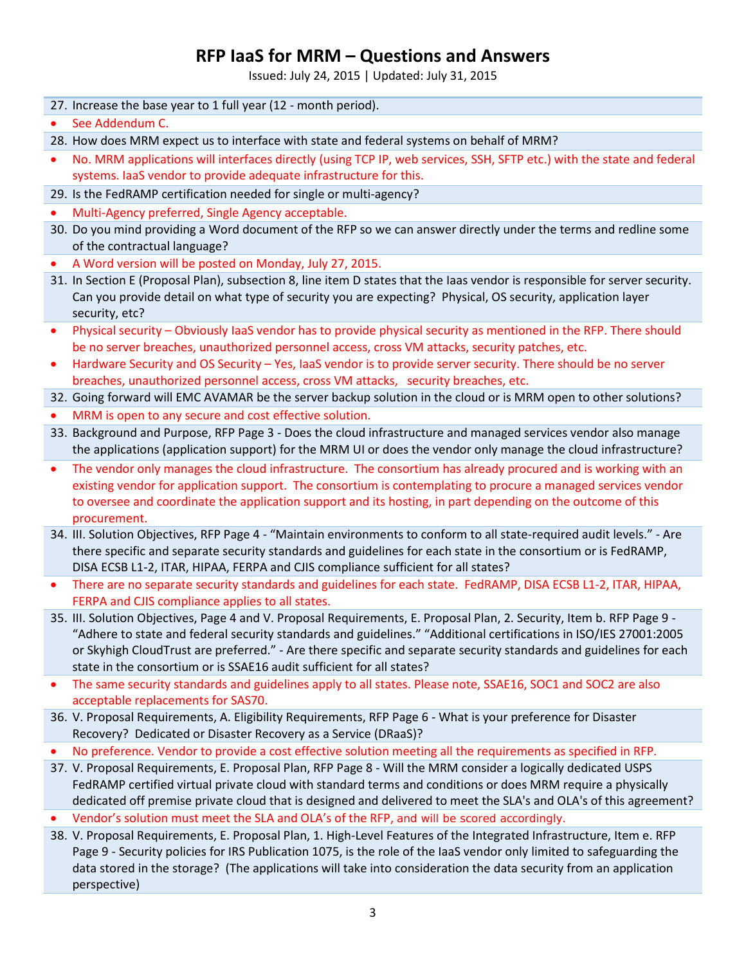Issued: July 24, 2015 | Updated: July 31, 2015

- 27. Increase the base year to 1 full year (12 month period).
- See Addendum C.

28. How does MRM expect us to interface with state and federal systems on behalf of MRM?

- No. MRM applications will interfaces directly (using TCP IP, web services, SSH, SFTP etc.) with the state and federal systems. IaaS vendor to provide adequate infrastructure for this.
- 29. Is the FedRAMP certification needed for single or multi-agency?
- Multi-Agency preferred, Single Agency acceptable.
- 30. Do you mind providing a Word document of the RFP so we can answer directly under the terms and redline some of the contractual language?
- A Word version will be posted on Monday, July 27, 2015.
- 31. In Section E (Proposal Plan), subsection 8, line item D states that the Iaas vendor is responsible for server security. Can you provide detail on what type of security you are expecting? Physical, OS security, application layer security, etc?
- Physical security Obviously IaaS vendor has to provide physical security as mentioned in the RFP. There should be no server breaches, unauthorized personnel access, cross VM attacks, security patches, etc.
- Hardware Security and OS Security Yes, IaaS vendor is to provide server security. There should be no server breaches, unauthorized personnel access, cross VM attacks, security breaches, etc.

32. Going forward will EMC AVAMAR be the server backup solution in the cloud or is MRM open to other solutions?

- MRM is open to any secure and cost effective solution.
- 33. Background and Purpose, RFP Page 3 Does the cloud infrastructure and managed services vendor also manage the applications (application support) for the MRM UI or does the vendor only manage the cloud infrastructure?
- The vendor only manages the cloud infrastructure. The consortium has already procured and is working with an existing vendor for application support. The consortium is contemplating to procure a managed services vendor to oversee and coordinate the application support and its hosting, in part depending on the outcome of this procurement.
- 34. III. Solution Objectives, RFP Page 4 "Maintain environments to conform to all state-required audit levels." Are there specific and separate security standards and guidelines for each state in the consortium or is FedRAMP, DISA ECSB L1-2, ITAR, HIPAA, FERPA and CJIS compliance sufficient for all states?
- There are no separate security standards and guidelines for each state. FedRAMP, DISA ECSB L1-2, ITAR, HIPAA, FERPA and CJIS compliance applies to all states.
- 35. III. Solution Objectives, Page 4 and V. Proposal Requirements, E. Proposal Plan, 2. Security, Item b. RFP Page 9 "Adhere to state and federal security standards and guidelines." "Additional certifications in ISO/IES 27001:2005 or Skyhigh CloudTrust are preferred." - Are there specific and separate security standards and guidelines for each state in the consortium or is SSAE16 audit sufficient for all states?
- The same security standards and guidelines apply to all states. Please note, SSAE16, SOC1 and SOC2 are also acceptable replacements for SAS70.
- 36. V. Proposal Requirements, A. Eligibility Requirements, RFP Page 6 What is your preference for Disaster Recovery? Dedicated or Disaster Recovery as a Service (DRaaS)?
- No preference. Vendor to provide a cost effective solution meeting all the requirements as specified in RFP.
- 37. V. Proposal Requirements, E. Proposal Plan, RFP Page 8 Will the MRM consider a logically dedicated USPS FedRAMP certified virtual private cloud with standard terms and conditions or does MRM require a physically dedicated off premise private cloud that is designed and delivered to meet the SLA's and OLA's of this agreement?
- Vendor's solution must meet the SLA and OLA's of the RFP, and will be scored accordingly.
- 38. V. Proposal Requirements, E. Proposal Plan, 1. High-Level Features of the Integrated Infrastructure, Item e. RFP Page 9 - Security policies for IRS Publication 1075, is the role of the IaaS vendor only limited to safeguarding the data stored in the storage? (The applications will take into consideration the data security from an application perspective)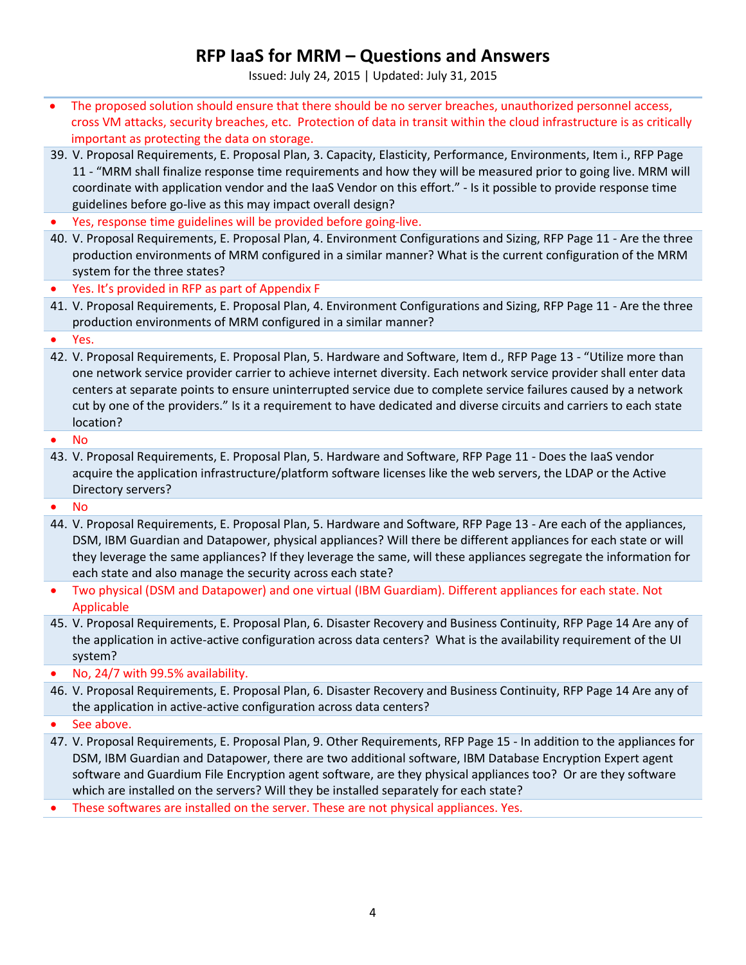Issued: July 24, 2015 | Updated: July 31, 2015

- The proposed solution should ensure that there should be no server breaches, unauthorized personnel access, cross VM attacks, security breaches, etc. Protection of data in transit within the cloud infrastructure is as critically important as protecting the data on storage.
- 39. V. Proposal Requirements, E. Proposal Plan, 3. Capacity, Elasticity, Performance, Environments, Item i., RFP Page 11 - "MRM shall finalize response time requirements and how they will be measured prior to going live. MRM will coordinate with application vendor and the IaaS Vendor on this effort." - Is it possible to provide response time guidelines before go-live as this may impact overall design?
- Yes, response time guidelines will be provided before going-live.
- 40. V. Proposal Requirements, E. Proposal Plan, 4. Environment Configurations and Sizing, RFP Page 11 Are the three production environments of MRM configured in a similar manner? What is the current configuration of the MRM system for the three states?
- Yes. It's provided in RFP as part of Appendix F
- 41. V. Proposal Requirements, E. Proposal Plan, 4. Environment Configurations and Sizing, RFP Page 11 Are the three production environments of MRM configured in a similar manner?

• Yes.

42. V. Proposal Requirements, E. Proposal Plan, 5. Hardware and Software, Item d., RFP Page 13 - "Utilize more than one network service provider carrier to achieve internet diversity. Each network service provider shall enter data centers at separate points to ensure uninterrupted service due to complete service failures caused by a network cut by one of the providers." Is it a requirement to have dedicated and diverse circuits and carriers to each state location?

• No

43. V. Proposal Requirements, E. Proposal Plan, 5. Hardware and Software, RFP Page 11 - Does the IaaS vendor acquire the application infrastructure/platform software licenses like the web servers, the LDAP or the Active Directory servers?

• No

- 44. V. Proposal Requirements, E. Proposal Plan, 5. Hardware and Software, RFP Page 13 Are each of the appliances, DSM, IBM Guardian and Datapower, physical appliances? Will there be different appliances for each state or will they leverage the same appliances? If they leverage the same, will these appliances segregate the information for each state and also manage the security across each state?
- Two physical (DSM and Datapower) and one virtual (IBM Guardiam). Different appliances for each state. Not Applicable
- 45. V. Proposal Requirements, E. Proposal Plan, 6. Disaster Recovery and Business Continuity, RFP Page 14 Are any of the application in active-active configuration across data centers? What is the availability requirement of the UI system?

• No, 24/7 with 99.5% availability.

46. V. Proposal Requirements, E. Proposal Plan, 6. Disaster Recovery and Business Continuity, RFP Page 14 Are any of the application in active-active configuration across data centers?

• See above.

47. V. Proposal Requirements, E. Proposal Plan, 9. Other Requirements, RFP Page 15 - In addition to the appliances for DSM, IBM Guardian and Datapower, there are two additional software, IBM Database Encryption Expert agent software and Guardium File Encryption agent software, are they physical appliances too? Or are they software which are installed on the servers? Will they be installed separately for each state?

• These softwares are installed on the server. These are not physical appliances. Yes.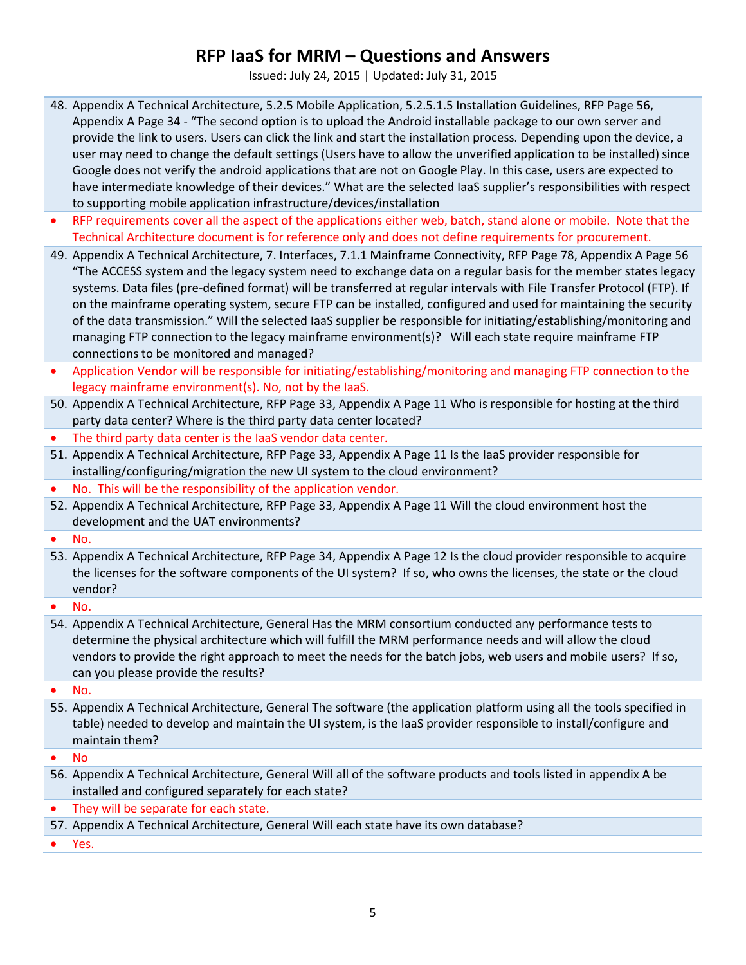Issued: July 24, 2015 | Updated: July 31, 2015

- 48. Appendix A Technical Architecture, 5.2.5 Mobile Application, 5.2.5.1.5 Installation Guidelines, RFP Page 56, Appendix A Page 34 - "The second option is to upload the Android installable package to our own server and provide the link to users. Users can click the link and start the installation process. Depending upon the device, a user may need to change the default settings (Users have to allow the unverified application to be installed) since Google does not verify the android applications that are not on Google Play. In this case, users are expected to have intermediate knowledge of their devices." What are the selected IaaS supplier's responsibilities with respect to supporting mobile application infrastructure/devices/installation
- RFP requirements cover all the aspect of the applications either web, batch, stand alone or mobile. Note that the Technical Architecture document is for reference only and does not define requirements for procurement.
- 49. Appendix A Technical Architecture, 7. Interfaces, 7.1.1 Mainframe Connectivity, RFP Page 78, Appendix A Page 56 "The ACCESS system and the legacy system need to exchange data on a regular basis for the member states legacy systems. Data files (pre-defined format) will be transferred at regular intervals with File Transfer Protocol (FTP). If on the mainframe operating system, secure FTP can be installed, configured and used for maintaining the security of the data transmission." Will the selected IaaS supplier be responsible for initiating/establishing/monitoring and managing FTP connection to the legacy mainframe environment(s)? Will each state require mainframe FTP connections to be monitored and managed?
- Application Vendor will be responsible for initiating/establishing/monitoring and managing FTP connection to the legacy mainframe environment(s). No, not by the IaaS.
- 50. Appendix A Technical Architecture, RFP Page 33, Appendix A Page 11 Who is responsible for hosting at the third party data center? Where is the third party data center located?
- The third party data center is the IaaS vendor data center.
- 51. Appendix A Technical Architecture, RFP Page 33, Appendix A Page 11 Is the IaaS provider responsible for installing/configuring/migration the new UI system to the cloud environment?
- No. This will be the responsibility of the application vendor.
- 52. Appendix A Technical Architecture, RFP Page 33, Appendix A Page 11 Will the cloud environment host the development and the UAT environments?
- No.
- 53. Appendix A Technical Architecture, RFP Page 34, Appendix A Page 12 Is the cloud provider responsible to acquire the licenses for the software components of the UI system? If so, who owns the licenses, the state or the cloud vendor?

• No.

54. Appendix A Technical Architecture, General Has the MRM consortium conducted any performance tests to determine the physical architecture which will fulfill the MRM performance needs and will allow the cloud vendors to provide the right approach to meet the needs for the batch jobs, web users and mobile users? If so, can you please provide the results?

• No.

55. Appendix A Technical Architecture, General The software (the application platform using all the tools specified in table) needed to develop and maintain the UI system, is the IaaS provider responsible to install/configure and maintain them?

• No

- 56. Appendix A Technical Architecture, General Will all of the software products and tools listed in appendix A be installed and configured separately for each state?
- They will be separate for each state.
- 57. Appendix A Technical Architecture, General Will each state have its own database?

• Yes.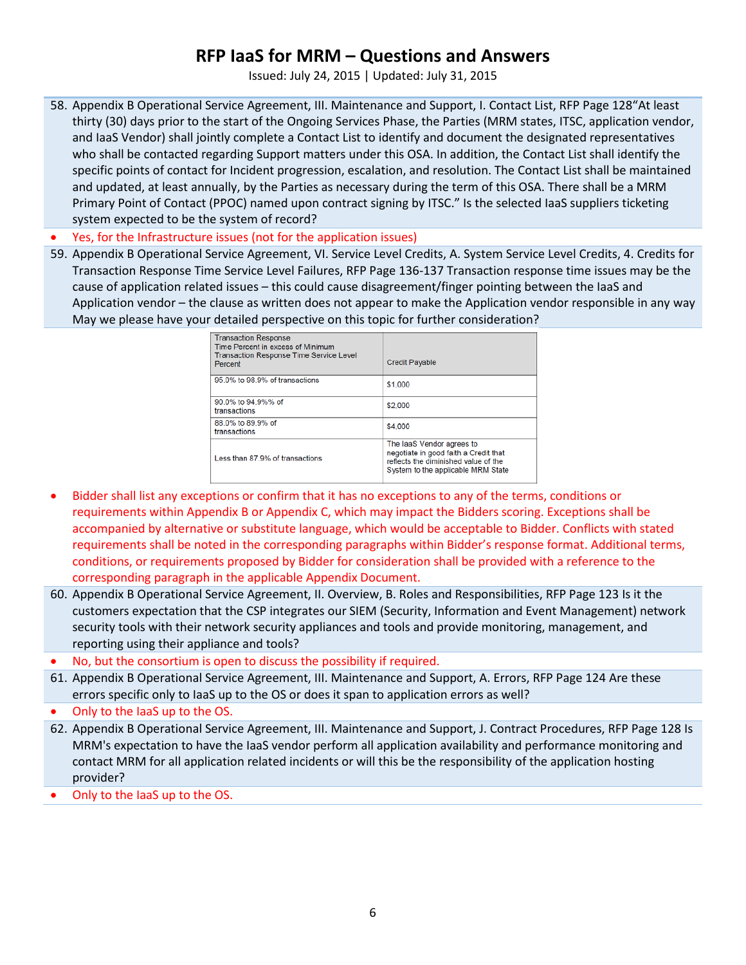Issued: July 24, 2015 | Updated: July 31, 2015

58. Appendix B Operational Service Agreement, III. Maintenance and Support, I. Contact List, RFP Page 128"At least thirty (30) days prior to the start of the Ongoing Services Phase, the Parties (MRM states, ITSC, application vendor, and IaaS Vendor) shall jointly complete a Contact List to identify and document the designated representatives who shall be contacted regarding Support matters under this OSA. In addition, the Contact List shall identify the specific points of contact for Incident progression, escalation, and resolution. The Contact List shall be maintained and updated, at least annually, by the Parties as necessary during the term of this OSA. There shall be a MRM Primary Point of Contact (PPOC) named upon contract signing by ITSC." Is the selected IaaS suppliers ticketing system expected to be the system of record?

• Yes, for the Infrastructure issues (not for the application issues)

59. Appendix B Operational Service Agreement, VI. Service Level Credits, A. System Service Level Credits, 4. Credits for Transaction Response Time Service Level Failures, RFP Page 136-137 Transaction response time issues may be the cause of application related issues – this could cause disagreement/finger pointing between the IaaS and Application vendor – the clause as written does not appear to make the Application vendor responsible in any way May we please have your detailed perspective on this topic for further consideration?

| <b>Transaction Response</b><br>Time Percent in excess of Minimum<br><b>Transaction Response Time Service Level</b><br>Percent | <b>Credit Payable</b>                                                                                                                            |
|-------------------------------------------------------------------------------------------------------------------------------|--------------------------------------------------------------------------------------------------------------------------------------------------|
| 95.0% to 98.9% of transactions                                                                                                | \$1,000                                                                                                                                          |
| 90.0% to 94.9%% of<br>transactions                                                                                            | \$2,000                                                                                                                                          |
| 88.0% to 89.9% of<br>transactions                                                                                             | \$4,000                                                                                                                                          |
| Less than 87.9% of transactions                                                                                               | The laaS Vendor agrees to<br>negotiate in good faith a Credit that<br>reflects the diminished value of the<br>System to the applicable MRM State |

- Bidder shall list any exceptions or confirm that it has no exceptions to any of the terms, conditions or requirements within Appendix B or Appendix C, which may impact the Bidders scoring. Exceptions shall be accompanied by alternative or substitute language, which would be acceptable to Bidder. Conflicts with stated requirements shall be noted in the corresponding paragraphs within Bidder's response format. Additional terms, conditions, or requirements proposed by Bidder for consideration shall be provided with a reference to the corresponding paragraph in the applicable Appendix Document.
- 60. Appendix B Operational Service Agreement, II. Overview, B. Roles and Responsibilities, RFP Page 123 Is it the customers expectation that the CSP integrates our SIEM (Security, Information and Event Management) network security tools with their network security appliances and tools and provide monitoring, management, and reporting using their appliance and tools?
- No, but the consortium is open to discuss the possibility if required.
- 61. Appendix B Operational Service Agreement, III. Maintenance and Support, A. Errors, RFP Page 124 Are these errors specific only to IaaS up to the OS or does it span to application errors as well?
- Only to the IaaS up to the OS.
- 62. Appendix B Operational Service Agreement, III. Maintenance and Support, J. Contract Procedures, RFP Page 128 Is MRM's expectation to have the IaaS vendor perform all application availability and performance monitoring and contact MRM for all application related incidents or will this be the responsibility of the application hosting provider?
- Only to the IaaS up to the OS.